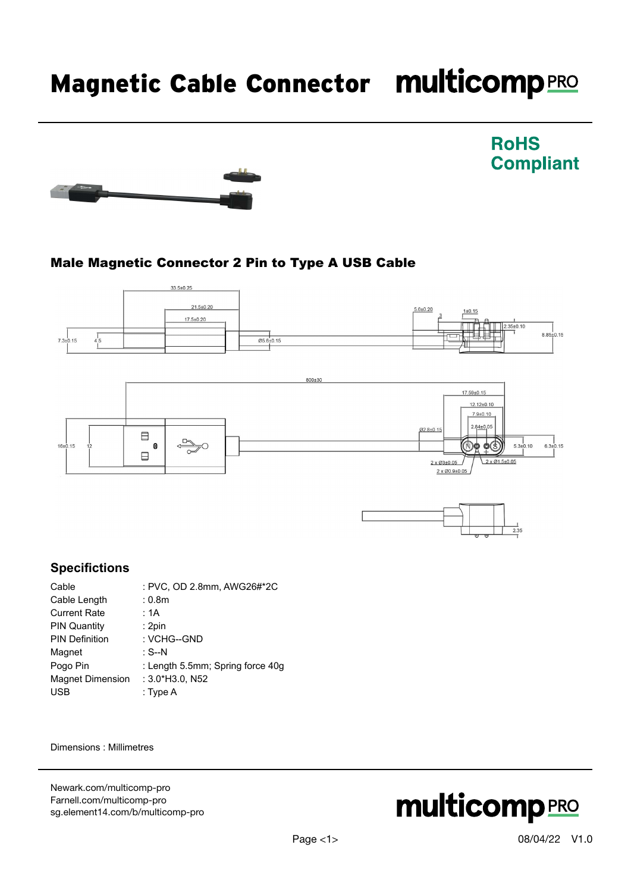# Magnetic Cable Connector multicomp PRO



## Male Magnetic Connector 2 Pin to Type A USB Cable





 $2 \times 10^{3}$ ±0.05 2 x Ø0.9±0.05  $2 \times 1.5 \pm 0.05$ 

**RoHS** 

**Compliant** 

#### **Specifictions**

| Cable                   | : PVC, OD 2.8mm, AWG26#*2C       |
|-------------------------|----------------------------------|
| Cable Length            | : 0.8 <sub>m</sub>               |
| <b>Current Rate</b>     | : 1A                             |
| <b>PIN Quantity</b>     | : 2pin                           |
| <b>PIN Definition</b>   | : VCHG--GND                      |
| Magnet                  | : S--N                           |
| Pogo Pin                | : Length 5.5mm; Spring force 40g |
| <b>Magnet Dimension</b> | $: 3.0*$ H $3.0.$ N $52$         |
| <b>USB</b>              | : Type A                         |

 $\Box$ 

Dimensions : Millimetres

[Newark.com/multicomp-](https://www.newark.com/multicomp-pro)pro [Farnell.com/multicomp](https://www.farnell.com/multicomp-pro)-pro [sg.element14.com/b/multicomp-pro](https://sg.element14.com/b/multicomp-pro)